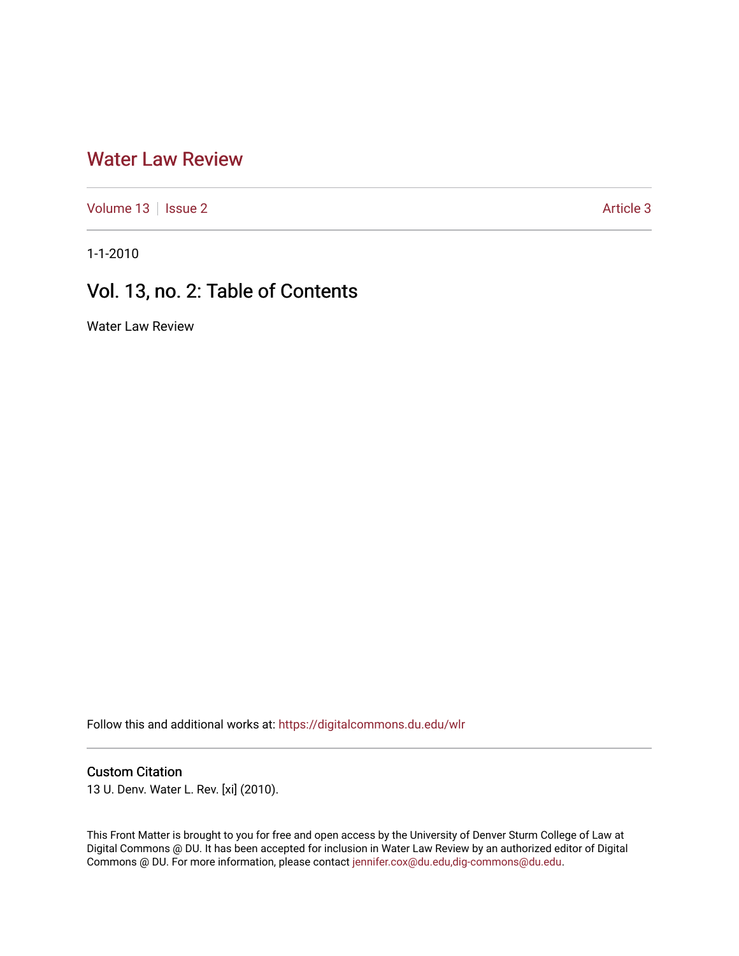### [Water Law Review](https://digitalcommons.du.edu/wlr)

[Volume 13](https://digitalcommons.du.edu/wlr/vol13) | [Issue 2](https://digitalcommons.du.edu/wlr/vol13/iss2) Article 3

1-1-2010

## Vol. 13, no. 2: Table of Contents

Water Law Review

Follow this and additional works at: [https://digitalcommons.du.edu/wlr](https://digitalcommons.du.edu/wlr?utm_source=digitalcommons.du.edu%2Fwlr%2Fvol13%2Fiss2%2F3&utm_medium=PDF&utm_campaign=PDFCoverPages) 

### Custom Citation

13 U. Denv. Water L. Rev. [xi] (2010).

This Front Matter is brought to you for free and open access by the University of Denver Sturm College of Law at Digital Commons @ DU. It has been accepted for inclusion in Water Law Review by an authorized editor of Digital Commons @ DU. For more information, please contact [jennifer.cox@du.edu,dig-commons@du.edu.](mailto:jennifer.cox@du.edu,dig-commons@du.edu)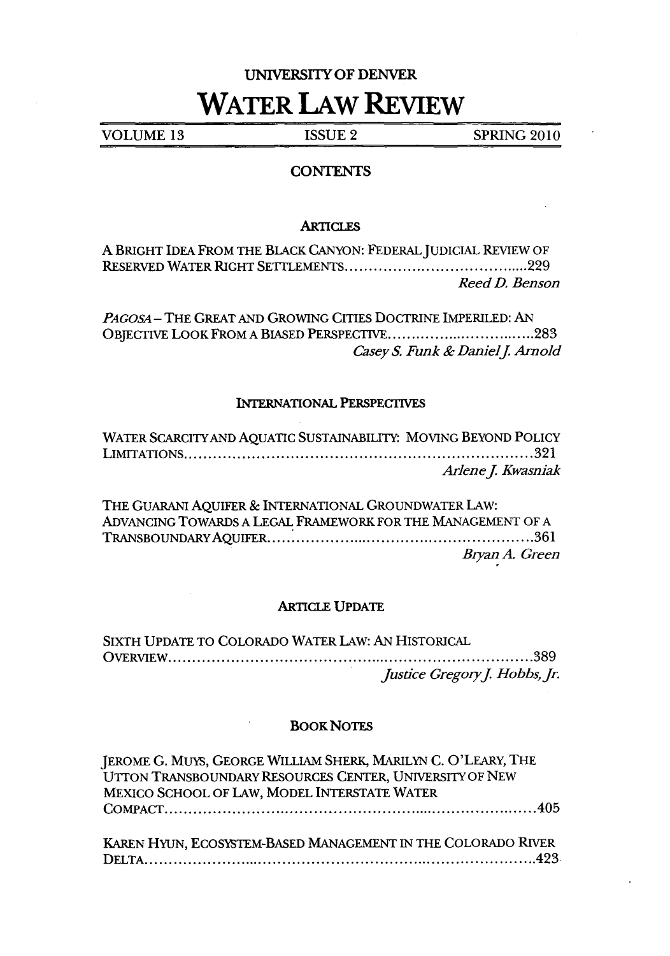# UNIVERSITY OF DENVER **WATER LAW REVIEW**

**VOLUME 13 ISSUE** 2 **SPRING** 2010

#### **CONTENTS**

#### **ARTICLES**

| A BRIGHT IDEA FROM THE BLACK CANYON: FEDERAL JUDICIAL REVIEW OF |                |
|-----------------------------------------------------------------|----------------|
|                                                                 |                |
|                                                                 | Reed D. Benson |

*PAGOSA* - THE GREAT **AND** GROWING CITIES DOCTRINE IMPERILED: AN OBJECTIVE LOOK FROM **A BIASED** PERSPECTIVE **................................ 283 Casey S. Funk & Daniel J. Arnold** 

#### INTERNATIONAL PERSPECTIVES

| WATER SCARCITY AND AQUATIC SUSTAINABILITY: MOVING BEYOND POLICY |                    |
|-----------------------------------------------------------------|--------------------|
|                                                                 |                    |
|                                                                 | Arlene J. Kwasniak |

THE GUARANI AQUIFER & INTERNATIONAL GROUNDWATER LAW: ADVANCING TOWARDS A LEGAL FRAMEWORK FOR THE MANAGEMENT OF A TRANSBOUNDARYAQUIFER ........................................................ 361 *Bryan A. Green*

#### ARTICLE **UPDATE**

SIXTH UPDATE TO COLORADO WATER LAW: AN HISTORICAL O VERVIEW ............................................................................ **389** *Justice Gregory J. Hobbs, Jr.* 

#### BOOKNoTES

JEROME G. MuYs, GEORGE WILLIAM SHERK, MARILYN C. O'LEARY, THE UTTON TRANSBOUNDARY RESOURCES CENTER, UNIVERSITY OF NEW MEXICO SCHOOL OF LAW, MODEL INTERSTATE WATER C O MPACT .............................................................................. 405 KAREN HYUN, ECOSYSTEM-BASED MANAGEMENT IN THE COLORADO RIVER

D ELTA .................................................................................. 423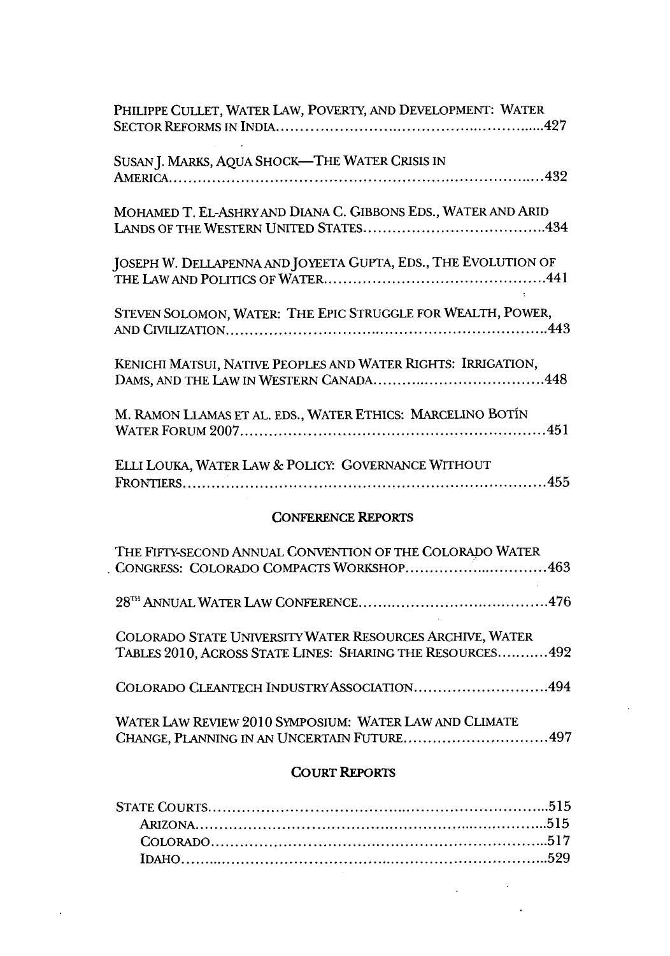| PHILIPPE CULLET, WATER LAW, POVERTY, AND DEVELOPMENT: WATER                                                           |  |  |
|-----------------------------------------------------------------------------------------------------------------------|--|--|
| SUSAN J. MARKS, AQUA SHOCK-THE WATER CRISIS IN                                                                        |  |  |
| MOHAMED T. EL-ASHRY AND DIANA C. GIBBONS EDS., WATER AND ARID                                                         |  |  |
| JOSEPH W. DELLAPENNA AND JOYEETA GUPTA, EDS., THE EVOLUTION OF                                                        |  |  |
| STEVEN SOLOMON, WATER: THE EPIC STRUGGLE FOR WEALTH, POWER,                                                           |  |  |
| KENICHI MATSUI, NATIVE PEOPLES AND WATER RIGHTS: IRRIGATION,                                                          |  |  |
| M. RAMON LLAMAS ET AL. EDS., WATER ETHICS: MARCELINO BOTÍN                                                            |  |  |
| ELLI LOUKA, WATER LAW & POLICY: GOVERNANCE WITHOUT                                                                    |  |  |
| <b>CONFERENCE REPORTS</b>                                                                                             |  |  |
| THE FIFTY-SECOND ANNUAL CONVENTION OF THE COLORADO WATER<br>CONGRESS: COLORADO COMPACTS WORKSHOP463                   |  |  |
|                                                                                                                       |  |  |
| COLORADO STATE UNIVERSITY WATER RESOURCES ARCHIVE, WATER<br>TABLES 2010, ACROSS STATE LINES: SHARING THE RESOURCES492 |  |  |
| COLORADO CLEANTECH INDUSTRY ASSOCIATION494                                                                            |  |  |
| WATER LAW REVIEW 2010 SYMPOSIUM: WATER LAW AND CLIMATE<br>CHANGE, PLANNING IN AN UNCERTAIN FUTURE497                  |  |  |
| -- - -<br><b>CALLED</b>                                                                                               |  |  |

#### **COURT** REPORTS

 $\sim$ 

 $\mathbf{A}^{(1)}$  and

 $\label{eq:2.1} \mathcal{L}(\mathcal{L}_{\mathcal{A}}) = \mathcal{L}(\mathcal{L}_{\mathcal{A}}) \otimes \mathcal{L}(\mathcal{L}_{\mathcal{A}})$ 

 $\sim 10^{-11}$